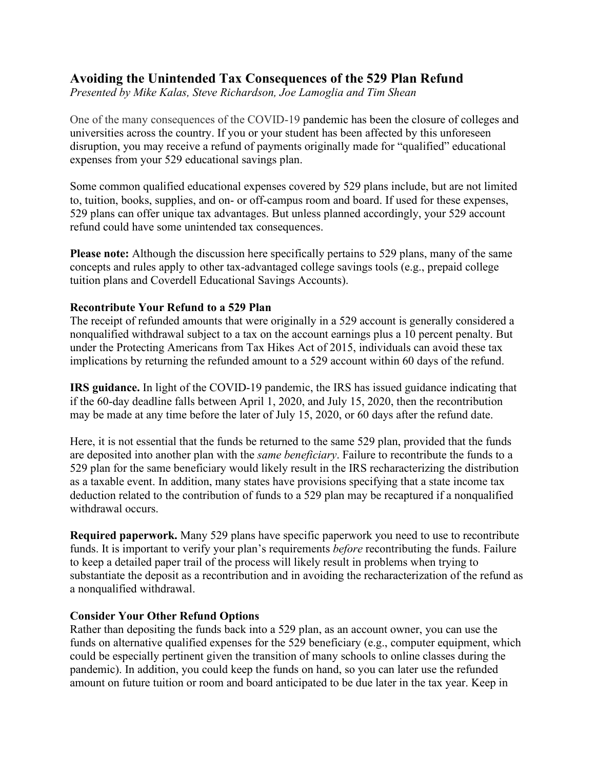## **Avoiding the Unintended Tax Consequences of the 529 Plan Refund**

*Presented by Mike Kalas, Steve Richardson, Joe Lamoglia and Tim Shean*

One of the many consequences of the COVID-19 pandemic has been the closure of colleges and universities across the country. If you or your student has been affected by this unforeseen disruption, you may receive a refund of payments originally made for "qualified" educational expenses from your 529 educational savings plan.

Some common qualified educational expenses covered by 529 plans include, but are not limited to, tuition, books, supplies, and on- or off-campus room and board. If used for these expenses, 529 plans can offer unique tax advantages. But unless planned accordingly, your 529 account refund could have some unintended tax consequences.

**Please note:** Although the discussion here specifically pertains to 529 plans, many of the same concepts and rules apply to other tax-advantaged college savings tools (e.g., prepaid college tuition plans and Coverdell Educational Savings Accounts).

## **Recontribute Your Refund to a 529 Plan**

The receipt of refunded amounts that were originally in a 529 account is generally considered a nonqualified withdrawal subject to a tax on the account earnings plus a 10 percent penalty. But under the Protecting Americans from Tax Hikes Act of 2015, individuals can avoid these tax implications by returning the refunded amount to a 529 account within 60 days of the refund.

**IRS guidance.** In light of the COVID-19 pandemic, the IRS has issued guidance indicating that if the 60-day deadline falls between April 1, 2020, and July 15, 2020, then the recontribution may be made at any time before the later of July 15, 2020, or 60 days after the refund date.

Here, it is not essential that the funds be returned to the same 529 plan, provided that the funds are deposited into another plan with the *same beneficiary*. Failure to recontribute the funds to a 529 plan for the same beneficiary would likely result in the IRS recharacterizing the distribution as a taxable event. In addition, many states have provisions specifying that a state income tax deduction related to the contribution of funds to a 529 plan may be recaptured if a nonqualified withdrawal occurs.

**Required paperwork.** Many 529 plans have specific paperwork you need to use to recontribute funds. It is important to verify your plan's requirements *before* recontributing the funds. Failure to keep a detailed paper trail of the process will likely result in problems when trying to substantiate the deposit as a recontribution and in avoiding the recharacterization of the refund as a nonqualified withdrawal.

## **Consider Your Other Refund Options**

Rather than depositing the funds back into a 529 plan, as an account owner, you can use the funds on alternative qualified expenses for the 529 beneficiary (e.g., computer equipment, which could be especially pertinent given the transition of many schools to online classes during the pandemic). In addition, you could keep the funds on hand, so you can later use the refunded amount on future tuition or room and board anticipated to be due later in the tax year. Keep in